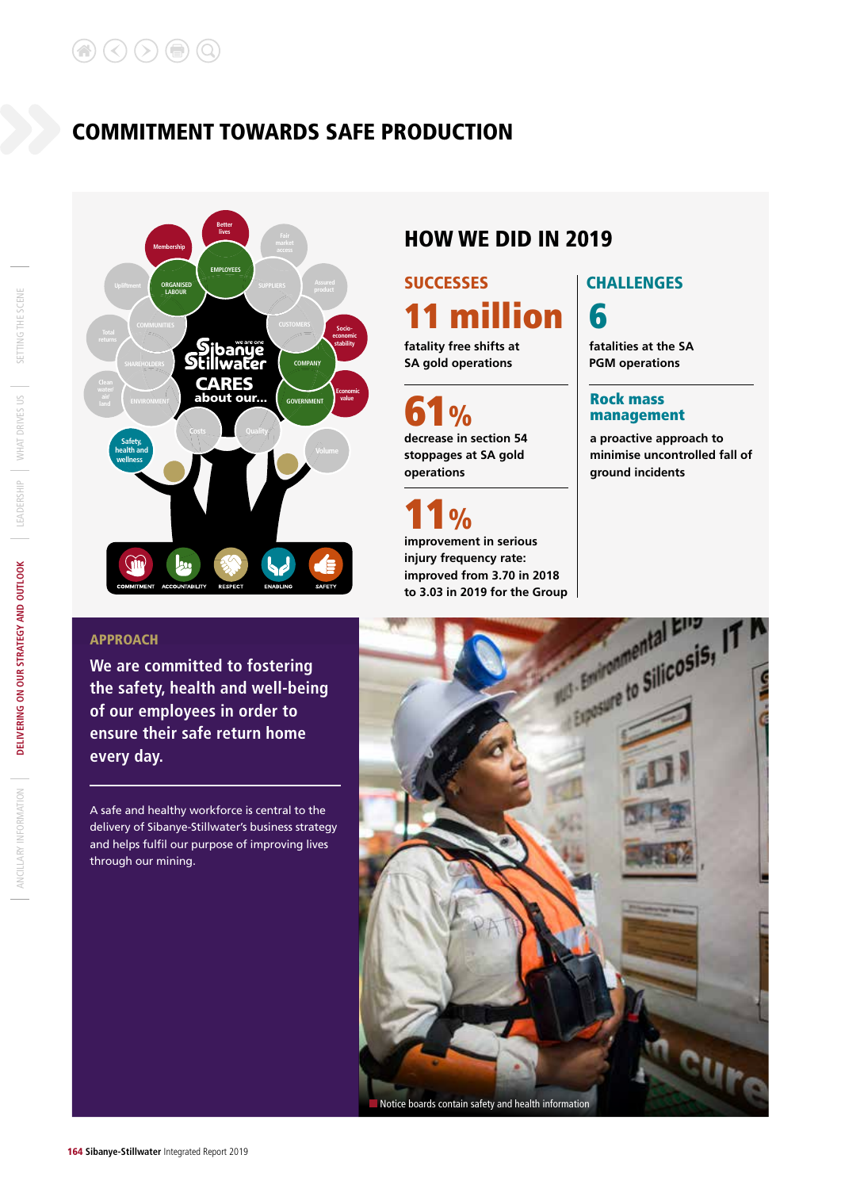## COMMITMENT TOWARDS SAFE PRODUCTION



## HOW WE DID IN 2019

SUCCESSES | CHALLENGES **fatality free shifts at**  11 million  $\vert$  6

**SA gold operations**

 $\frac{1}{\sqrt{2}}$ 

**decrease in section 54 stoppages at SA gold** 

**1** %<br>**improvement in serious** 

**injury frequency rate: improved from 3.70 in 2018** 

**operations**

**fatalities at the SA PGM operations**

#### Rock mass management

**a proactive approach to minimise uncontrolled fall of ground incidents**

### APPROACH

**We are committed to fostering the safety, health and well-being of our employees in order to ensure their safe return home every day.** 

A safe and healthy workforce is central to the delivery of Sibanye-Stillwater's business strategy and helps fulfil our purpose of improving lives through our mining.



SETTING THE SCENE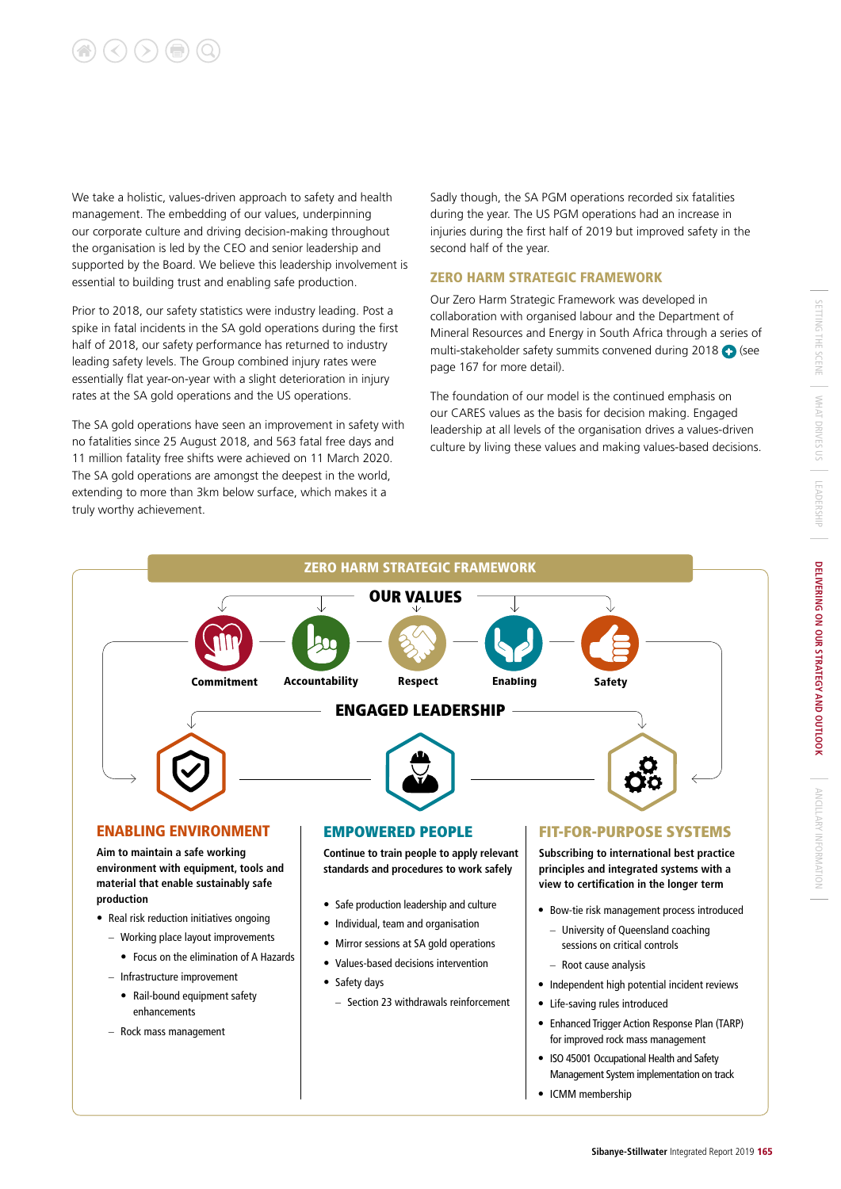# $(\lt) (\gt) (\textcircled{\scriptsize{\textcircled{\#}}})$  (Q

**production**

We take a holistic, values-driven approach to safety and health management. The embedding of our values, underpinning our corporate culture and driving decision-making throughout the organisation is led by the CEO and senior leadership and supported by the Board. We believe this leadership involvement is essential to building trust and enabling safe production.

Prior to 2018, our safety statistics were industry leading. Post a spike in fatal incidents in the SA gold operations during the first half of 2018, our safety performance has returned to industry leading safety levels. The Group combined injury rates were essentially flat year-on-year with a slight deterioration in injury rates at the SA gold operations and the US operations.

The SA gold operations have seen an improvement in safety with no fatalities since 25 August 2018, and 563 fatal free days and 11 million fatality free shifts were achieved on 11 March 2020. The SA gold operations are amongst the deepest in the world, extending to more than 3km below surface, which makes it a truly worthy achievement.

Sadly though, the SA PGM operations recorded six fatalities during the year. The US PGM operations had an increase in injuries during the first half of 2019 but improved safety in the second half of the year.

#### ZERO HARM STRATEGIC FRAMEWORK

Our Zero Harm Strategic Framework was developed in collaboration with organised labour and the Department of Mineral Resources and Energy in South Africa through a series of multi-stakeholder safety summits convened during 2018 (also page 167 for more detail).

The foundation of our model is the continued emphasis on our CARES values as the basis for decision making. Engaged leadership at all levels of the organisation drives a values-driven culture by living these values and making values-based decisions.

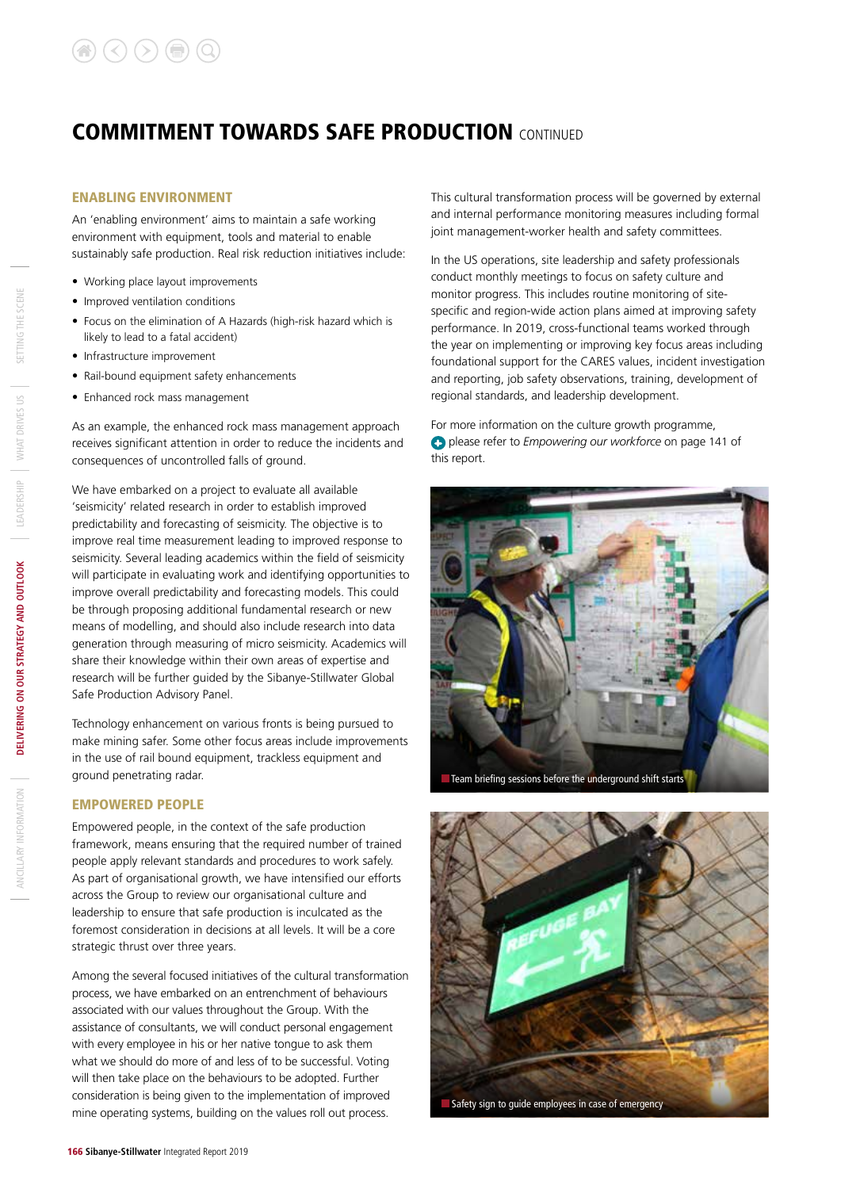#### ENABLING ENVIRONMENT

An 'enabling environment' aims to maintain a safe working environment with equipment, tools and material to enable sustainably safe production. Real risk reduction initiatives include:

- Working place layout improvements
- Improved ventilation conditions
- Focus on the elimination of A Hazards (high-risk hazard which is likely to lead to a fatal accident)
- Infrastructure improvement
- Rail-bound equipment safety enhancements
- Enhanced rock mass management

As an example, the enhanced rock mass management approach receives significant attention in order to reduce the incidents and consequences of uncontrolled falls of ground.

We have embarked on a project to evaluate all available 'seismicity' related research in order to establish improved predictability and forecasting of seismicity. The objective is to improve real time measurement leading to improved response to seismicity. Several leading academics within the field of seismicity will participate in evaluating work and identifying opportunities to improve overall predictability and forecasting models. This could be through proposing additional fundamental research or new means of modelling, and should also include research into data generation through measuring of micro seismicity. Academics will share their knowledge within their own areas of expertise and research will be further guided by the Sibanye-Stillwater Global Safe Production Advisory Panel.

Technology enhancement on various fronts is being pursued to make mining safer. Some other focus areas include improvements in the use of rail bound equipment, trackless equipment and ground penetrating radar.

#### EMPOWERED PEOPLE

Empowered people, in the context of the safe production framework, means ensuring that the required number of trained people apply relevant standards and procedures to work safely. As part of organisational growth, we have intensified our efforts across the Group to review our organisational culture and leadership to ensure that safe production is inculcated as the foremost consideration in decisions at all levels. It will be a core strategic thrust over three years.

Among the several focused initiatives of the cultural transformation process, we have embarked on an entrenchment of behaviours associated with our values throughout the Group. With the assistance of consultants, we will conduct personal engagement with every employee in his or her native tongue to ask them what we should do more of and less of to be successful. Voting will then take place on the behaviours to be adopted. Further consideration is being given to the implementation of improved mine operating systems, building on the values roll out process.

This cultural transformation process will be governed by external and internal performance monitoring measures including formal joint management-worker health and safety committees.

In the US operations, site leadership and safety professionals conduct monthly meetings to focus on safety culture and monitor progress. This includes routine monitoring of sitespecific and region-wide action plans aimed at improving safety performance. In 2019, cross-functional teams worked through the year on implementing or improving key focus areas including foundational support for the CARES values, incident investigation and reporting, job safety observations, training, development of regional standards, and leadership development.

For more information on the culture growth programme, please refer to *Empowering our workforce* on page 141 of this report.





SETTING THE SCENE

WHAT DRIVES US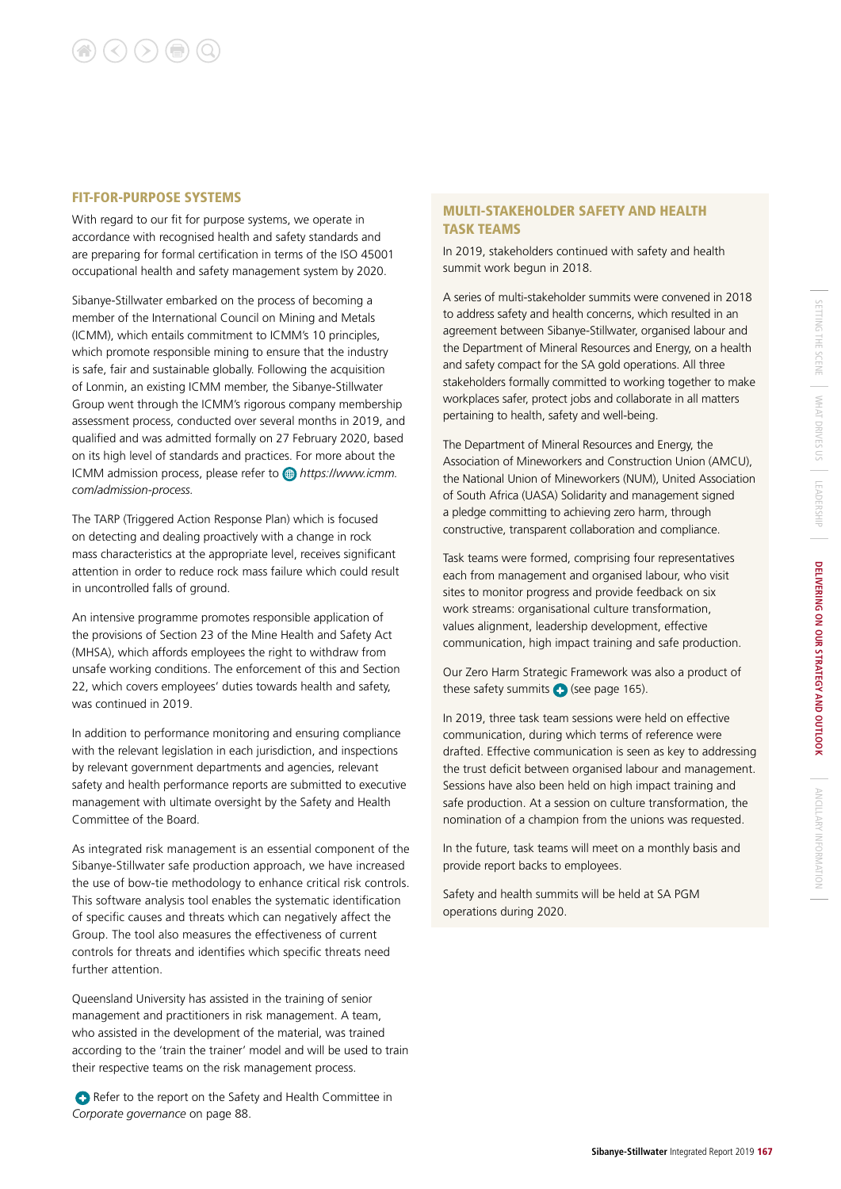#### FIT-FOR-PURPOSE SYSTEMS

With regard to our fit for purpose systems, we operate in accordance with recognised health and safety standards and are preparing for formal certification in terms of the ISO 45001 occupational health and safety management system by 2020.

Sibanye-Stillwater embarked on the process of becoming a member of the International Council on Mining and Metals (ICMM), which entails commitment to ICMM's 10 principles, which promote responsible mining to ensure that the industry is safe, fair and sustainable globally. Following the acquisition of Lonmin, an existing ICMM member, the Sibanye-Stillwater Group went through the ICMM's rigorous company membership assessment process, conducted over several months in 2019, and qualified and was admitted formally on 27 February 2020, based on its high level of standards and practices. For more about the ICMM admission process, please refer to *https://www.icmm. com/admission-process.*

The TARP (Triggered Action Response Plan) which is focused on detecting and dealing proactively with a change in rock mass characteristics at the appropriate level, receives significant attention in order to reduce rock mass failure which could result in uncontrolled falls of ground.

An intensive programme promotes responsible application of the provisions of Section 23 of the Mine Health and Safety Act (MHSA), which affords employees the right to withdraw from unsafe working conditions. The enforcement of this and Section 22, which covers employees' duties towards health and safety, was continued in 2019.

In addition to performance monitoring and ensuring compliance with the relevant legislation in each jurisdiction, and inspections by relevant government departments and agencies, relevant safety and health performance reports are submitted to executive management with ultimate oversight by the Safety and Health Committee of the Board.

As integrated risk management is an essential component of the Sibanye-Stillwater safe production approach, we have increased the use of bow-tie methodology to enhance critical risk controls. This software analysis tool enables the systematic identification of specific causes and threats which can negatively affect the Group. The tool also measures the effectiveness of current controls for threats and identifies which specific threats need further attention.

Queensland University has assisted in the training of senior management and practitioners in risk management. A team, who assisted in the development of the material, was trained according to the 'train the trainer' model and will be used to train their respective teams on the risk management process.

Refer to the report on the Safety and Health Committee in *Corporate governance* on page 88.

#### MULTI-STAKEHOLDER SAFETY AND HEALTH TASK TEAMS

In 2019, stakeholders continued with safety and health summit work begun in 2018.

A series of multi-stakeholder summits were convened in 2018 to address safety and health concerns, which resulted in an agreement between Sibanye-Stillwater, organised labour and the Department of Mineral Resources and Energy, on a health and safety compact for the SA gold operations. All three stakeholders formally committed to working together to make workplaces safer, protect jobs and collaborate in all matters pertaining to health, safety and well-being.

The Department of Mineral Resources and Energy, the Association of Mineworkers and Construction Union (AMCU), the National Union of Mineworkers (NUM), United Association of South Africa (UASA) Solidarity and management signed a pledge committing to achieving zero harm, through constructive, transparent collaboration and compliance.

Task teams were formed, comprising four representatives each from management and organised labour, who visit sites to monitor progress and provide feedback on six work streams: organisational culture transformation, values alignment, leadership development, effective communication, high impact training and safe production.

Our Zero Harm Strategic Framework was also a product of these safety summits  $\bigodot$  (see page 165).

In 2019, three task team sessions were held on effective communication, during which terms of reference were drafted. Effective communication is seen as key to addressing the trust deficit between organised labour and management. Sessions have also been held on high impact training and safe production. At a session on culture transformation, the nomination of a champion from the unions was requested.

In the future, task teams will meet on a monthly basis and provide report backs to employees.

Safety and health summits will be held at SA PGM operations during 2020.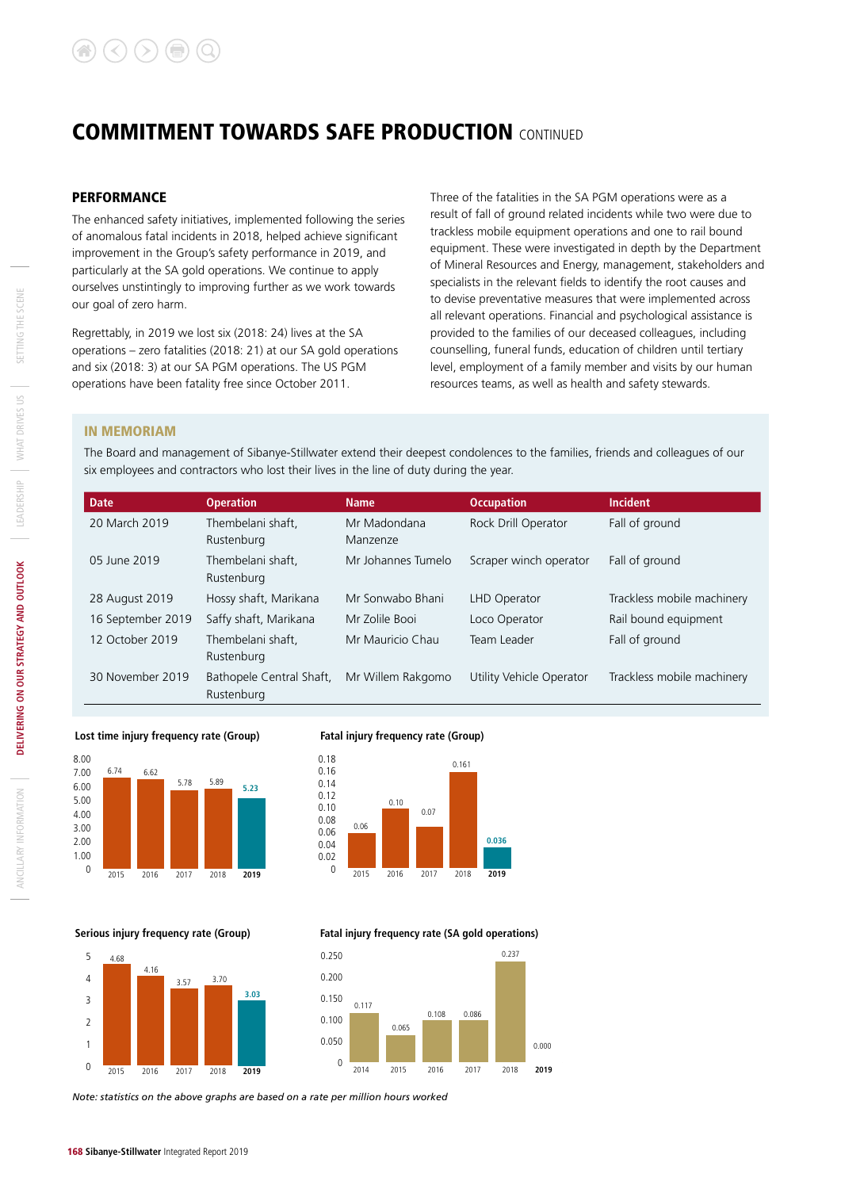#### **PERFORMANCE**

The enhanced safety initiatives, implemented following the series of anomalous fatal incidents in 2018, helped achieve significant improvement in the Group's safety performance in 2019, and particularly at the SA gold operations. We continue to apply ourselves unstintingly to improving further as we work towards our goal of zero harm.

Regrettably, in 2019 we lost six (2018: 24) lives at the SA operations – zero fatalities (2018: 21) at our SA gold operations and six (2018: 3) at our SA PGM operations. The US PGM operations have been fatality free since October 2011.

Three of the fatalities in the SA PGM operations were as a result of fall of ground related incidents while two were due to trackless mobile equipment operations and one to rail bound equipment. These were investigated in depth by the Department of Mineral Resources and Energy, management, stakeholders and specialists in the relevant fields to identify the root causes and to devise preventative measures that were implemented across all relevant operations. Financial and psychological assistance is provided to the families of our deceased colleagues, including counselling, funeral funds, education of children until tertiary level, employment of a family member and visits by our human resources teams, as well as health and safety stewards.

#### IN MEMORIAM

The Board and management of Sibanye-Stillwater extend their deepest condolences to the families, friends and colleagues of our six employees and contractors who lost their lives in the line of duty during the year.

| <b>Date</b>       | <b>Operation</b>                       | <b>Name</b>              | <b>Occupation</b>        | <b>Incident</b>            |
|-------------------|----------------------------------------|--------------------------|--------------------------|----------------------------|
| 20 March 2019     | Thembelani shaft.<br>Rustenburg        | Mr Madondana<br>Manzenze | Rock Drill Operator      | Fall of ground             |
| 05 June 2019      | Thembelani shaft.<br>Rustenburg        | Mr Johannes Tumelo       | Scraper winch operator   | Fall of ground             |
| 28 August 2019    | Hossy shaft, Marikana                  | Mr Sonwabo Bhani         | LHD Operator             | Trackless mobile machinery |
| 16 September 2019 | Saffy shaft, Marikana                  | Mr Zolile Booi           | Loco Operator            | Rail bound equipment       |
| 12 October 2019   | Thembelani shaft.<br>Rustenburg        | Mr Mauricio Chau         | Team Leader              | Fall of ground             |
| 30 November 2019  | Bathopele Central Shaft,<br>Rustenburg | Mr Willem Rakgomo        | Utility Vehicle Operator | Trackless mobile machinery |



#### **Fatal injury frequency rate (Group)**



0.065

2014 2015 2016 2017 2018

 **Fatal injury frequency rate (SA gold operations)**

0.108 0.086

0.117

0 0.050 0.100 0.150 0.200 0.250

0.000

**2019**

0.237

 **Serious injury frequency rate (Group)**



*Note: statistics on the above graphs are based on a rate per million hours worked*

ANCILLARY INFORMATION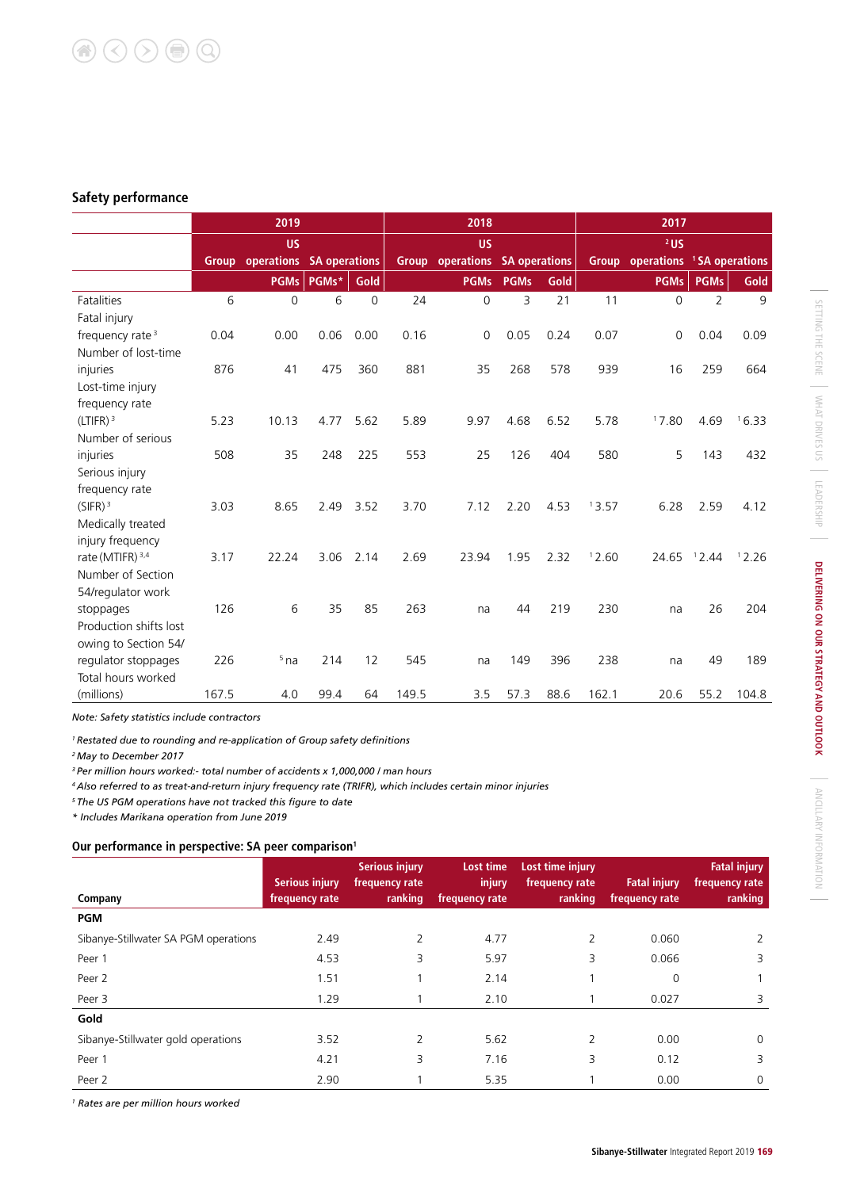#### **Safety performance**

|                             |       | 2019                                  |       |      |       | 2018                                  |             |      |       | 2017             |                |                            |
|-----------------------------|-------|---------------------------------------|-------|------|-------|---------------------------------------|-------------|------|-------|------------------|----------------|----------------------------|
|                             |       | <b>US</b>                             |       |      |       | <b>US</b>                             |             |      |       | $2$ US           |                |                            |
|                             |       | <b>Group operations SA operations</b> |       |      |       | <b>Group</b> operations SA operations |             |      |       | Group operations |                | <sup>1</sup> SA operations |
|                             |       | <b>PGMs</b>                           | PGMs* | Gold |       | <b>PGMs</b>                           | <b>PGMs</b> | Gold |       | <b>PGMs</b>      | <b>PGMs</b>    | Gold                       |
| <b>Fatalities</b>           | 6     | $\Omega$                              | 6     | 0    | 24    | $\overline{0}$                        | 3           | 21   | 11    | $\Omega$         | $\overline{2}$ | 9                          |
| Fatal injury                |       |                                       |       |      |       |                                       |             |      |       |                  |                |                            |
| frequency rate <sup>3</sup> | 0.04  | 0.00                                  | 0.06  | 0.00 | 0.16  | 0                                     | 0.05        | 0.24 | 0.07  | 0                | 0.04           | 0.09                       |
| Number of lost-time         |       |                                       |       |      |       |                                       |             |      |       |                  |                |                            |
| injuries                    | 876   | 41                                    | 475   | 360  | 881   | 35                                    | 268         | 578  | 939   | 16               | 259            | 664                        |
| Lost-time injury            |       |                                       |       |      |       |                                       |             |      |       |                  |                |                            |
| frequency rate              |       |                                       |       |      |       |                                       |             |      |       |                  |                |                            |
| (LTIFR) <sup>3</sup>        | 5.23  | 10.13                                 | 4.77  | 5.62 | 5.89  | 9.97                                  | 4.68        | 6.52 | 5.78  | 17.80            | 4.69           | 16.33                      |
| Number of serious           |       |                                       |       |      |       |                                       |             |      |       |                  |                |                            |
| injuries                    | 508   | 35                                    | 248   | 225  | 553   | 25                                    | 126         | 404  | 580   | 5                | 143            | 432                        |
| Serious injury              |       |                                       |       |      |       |                                       |             |      |       |                  |                |                            |
| frequency rate              |       |                                       |       |      |       |                                       |             |      |       |                  |                |                            |
| (SIFR) <sup>3</sup>         | 3.03  | 8.65                                  | 2.49  | 3.52 | 3.70  | 7.12                                  | 2.20        | 4.53 | 13.57 | 6.28             | 2.59           | 4.12                       |
| Medically treated           |       |                                       |       |      |       |                                       |             |      |       |                  |                |                            |
| injury frequency            |       |                                       |       |      |       |                                       |             |      |       |                  |                |                            |
| rate (MTIFR) <sup>3,4</sup> | 3.17  | 22.24                                 | 3.06  | 2.14 | 2.69  | 23.94                                 | 1.95        | 2.32 | 12.60 | 24.65            | 12.44          | 12.26                      |
| Number of Section           |       |                                       |       |      |       |                                       |             |      |       |                  |                |                            |
| 54/regulator work           |       |                                       |       |      |       |                                       |             |      |       |                  |                |                            |
| stoppages                   | 126   | 6                                     | 35    | 85   | 263   | na                                    | 44          | 219  | 230   | na               | 26             | 204                        |
| Production shifts lost      |       |                                       |       |      |       |                                       |             |      |       |                  |                |                            |
| owing to Section 54/        |       |                                       |       |      |       |                                       |             |      |       |                  |                |                            |
| regulator stoppages         | 226   | $5$ na                                | 214   | 12   | 545   | na                                    | 149         | 396  | 238   | na               | 49             | 189                        |
| Total hours worked          |       |                                       |       |      |       |                                       |             |      |       |                  |                |                            |
| (millions)                  | 167.5 | 4.0                                   | 99.4  | 64   | 149.5 | 3.5                                   | 57.3        | 88.6 | 162.1 | 20.6             | 55.2           | 104.8                      |

*Note: Safety statistics include contractors*

*1 Restated due to rounding and re-application of Group safety definitions*

*2 May to December 2017*

*3 Per million hours worked:- total number of accidents x 1,000,000 / man hours*

*4 Also referred to as treat-and-return injury frequency rate (TRIFR), which includes certain minor injuries*

*5 The US PGM operations have not tracked this figure to date*

*\* Includes Marikana operation from June 2019*

#### **Our performance in perspective: SA peer comparison1**

|                                      | <b>Serious injury</b> | <b>Serious injury</b><br>frequency rate | Lost time<br>injury | Lost time injury<br>frequency rate | <b>Fatal injury</b> | <b>Fatal injury</b><br>frequency rate |
|--------------------------------------|-----------------------|-----------------------------------------|---------------------|------------------------------------|---------------------|---------------------------------------|
| Company                              | frequency rate        | ranking                                 | frequency rate      | ranking                            | frequency rate      | <b>ranking</b>                        |
| <b>PGM</b>                           |                       |                                         |                     |                                    |                     |                                       |
| Sibanye-Stillwater SA PGM operations | 2.49                  | $\mathcal{P}$                           | 4.77                | $\overline{2}$                     | 0.060               |                                       |
| Peer 1                               | 4.53                  | 3                                       | 5.97                | 3                                  | 0.066               | 3                                     |
| Peer 2                               | 1.51                  |                                         | 2.14                |                                    | 0                   |                                       |
| Peer 3                               | 1.29                  |                                         | 2.10                |                                    | 0.027               | 3                                     |
| Gold                                 |                       |                                         |                     |                                    |                     |                                       |
| Sibanye-Stillwater gold operations   | 3.52                  | C.                                      | 5.62                | 2                                  | 0.00                | $\Omega$                              |
| Peer 1                               | 4.21                  | 3                                       | 7.16                | 3                                  | 0.12                | 3                                     |
| Peer 2                               | 2.90                  |                                         | 5.35                |                                    | 0.00                | $\Omega$                              |

*1 Rates are per million hours worked*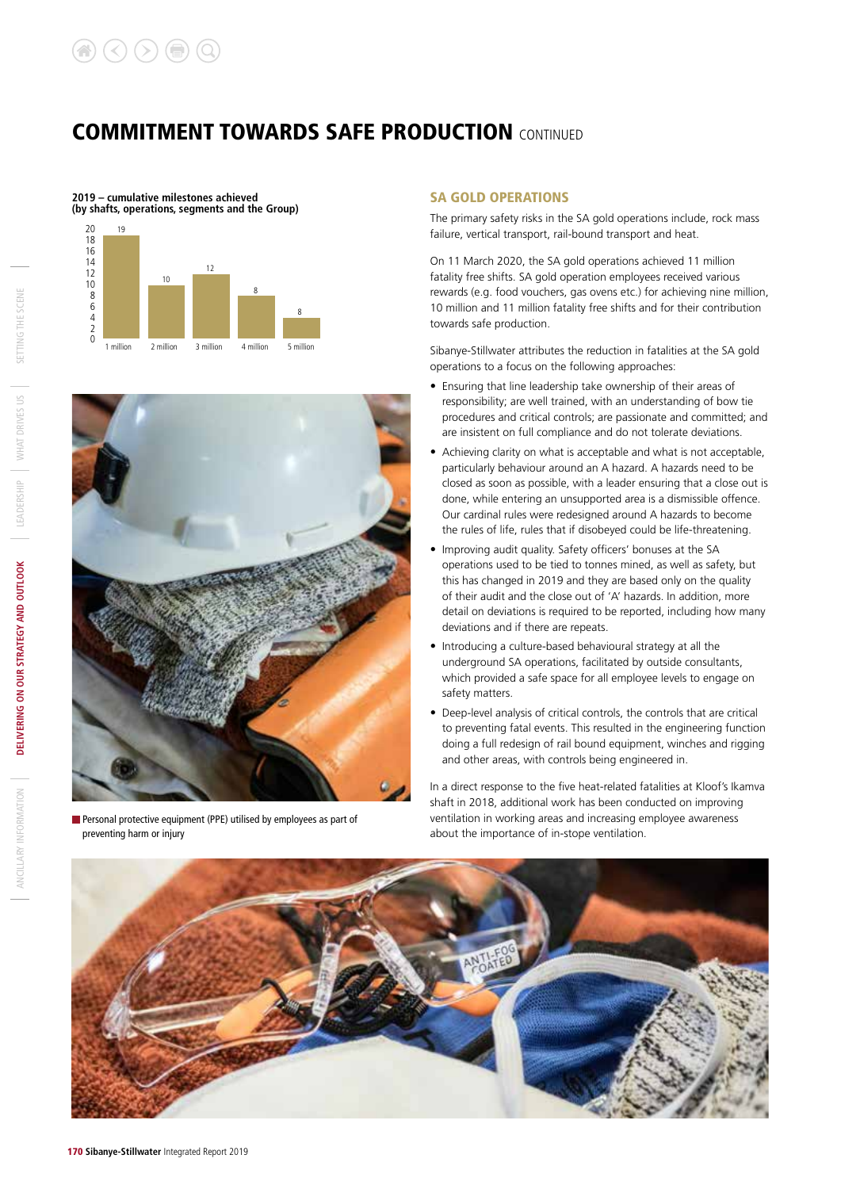



Personal protective equipment (PPE) utilised by employees as part of preventing harm or injury

#### SA GOLD OPERATIONS

The primary safety risks in the SA gold operations include, rock mass failure, vertical transport, rail-bound transport and heat.

On 11 March 2020, the SA gold operations achieved 11 million fatality free shifts. SA gold operation employees received various rewards (e.g. food vouchers, gas ovens etc.) for achieving nine million, 10 million and 11 million fatality free shifts and for their contribution towards safe production.

Sibanye-Stillwater attributes the reduction in fatalities at the SA gold operations to a focus on the following approaches:

- Ensuring that line leadership take ownership of their areas of responsibility; are well trained, with an understanding of bow tie procedures and critical controls; are passionate and committed; and are insistent on full compliance and do not tolerate deviations.
- Achieving clarity on what is acceptable and what is not acceptable, particularly behaviour around an A hazard. A hazards need to be closed as soon as possible, with a leader ensuring that a close out is done, while entering an unsupported area is a dismissible offence. Our cardinal rules were redesigned around A hazards to become the rules of life, rules that if disobeyed could be life-threatening.
- Improving audit quality. Safety officers' bonuses at the SA operations used to be tied to tonnes mined, as well as safety, but this has changed in 2019 and they are based only on the quality of their audit and the close out of 'A' hazards. In addition, more detail on deviations is required to be reported, including how many deviations and if there are repeats.
- Introducing a culture-based behavioural strategy at all the underground SA operations, facilitated by outside consultants, which provided a safe space for all employee levels to engage on safety matters.
- Deep-level analysis of critical controls, the controls that are critical to preventing fatal events. This resulted in the engineering function doing a full redesign of rail bound equipment, winches and rigging and other areas, with controls being engineered in.

In a direct response to the five heat-related fatalities at Kloof's Ikamva shaft in 2018, additional work has been conducted on improving ventilation in working areas and increasing employee awareness about the importance of in-stope ventilation.

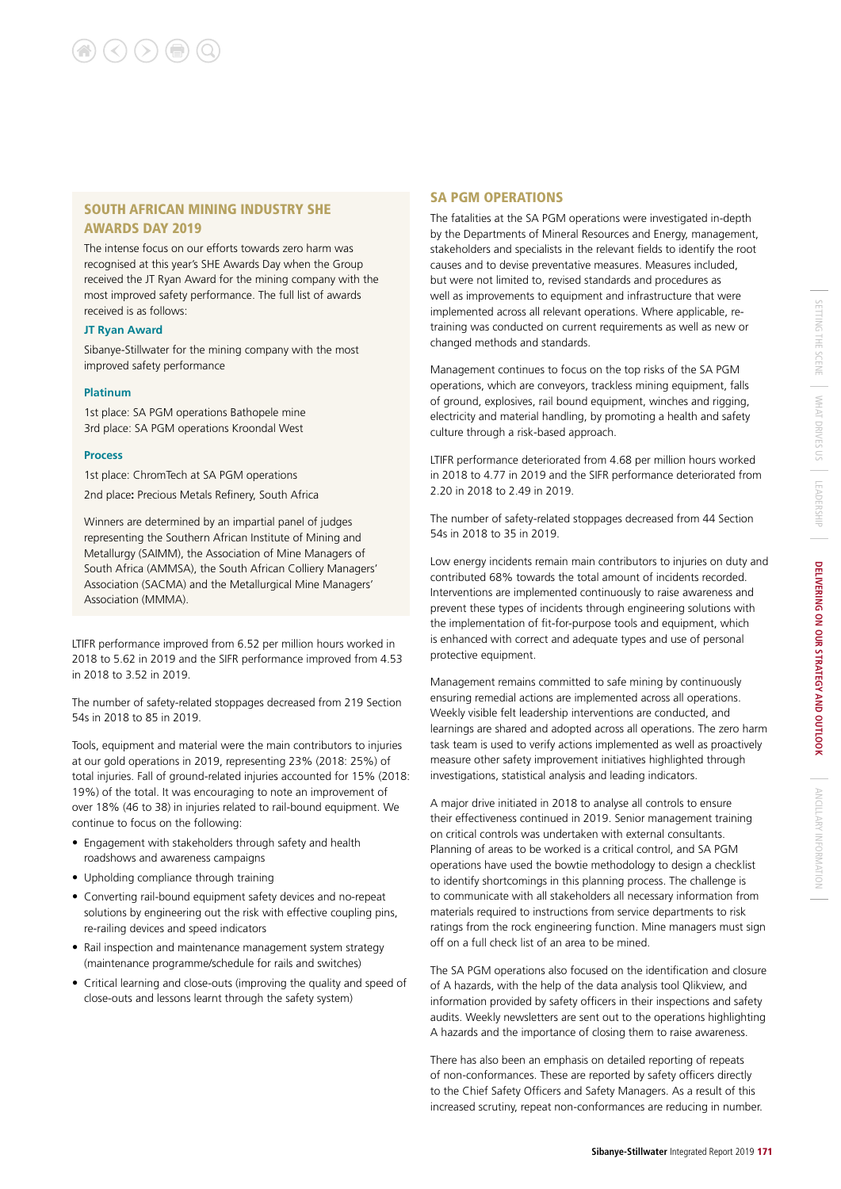#### SOUTH AFRICAN MINING INDUSTRY SHE AWARDS DAY 2019

The intense focus on our efforts towards zero harm was recognised at this year's SHE Awards Day when the Group received the JT Ryan Award for the mining company with the most improved safety performance. The full list of awards received is as follows:

#### **JT Ryan Award**

Sibanye-Stillwater for the mining company with the most improved safety performance

#### **Platinum**

1st place: SA PGM operations Bathopele mine 3rd place: SA PGM operations Kroondal West

#### **Process**

1st place: ChromTech at SA PGM operations 2nd place**:** Precious Metals Refinery, South Africa

Winners are determined by an impartial panel of judges representing the Southern African Institute of Mining and Metallurgy (SAIMM), the Association of Mine Managers of South Africa (AMMSA), the South African Colliery Managers' Association (SACMA) and the Metallurgical Mine Managers' Association (MMMA).

LTIFR performance improved from 6.52 per million hours worked in 2018 to 5.62 in 2019 and the SIFR performance improved from 4.53 in 2018 to 3.52 in 2019.

The number of safety-related stoppages decreased from 219 Section 54s in 2018 to 85 in 2019.

Tools, equipment and material were the main contributors to injuries at our gold operations in 2019, representing 23% (2018: 25%) of total injuries. Fall of ground-related injuries accounted for 15% (2018: 19%) of the total. It was encouraging to note an improvement of over 18% (46 to 38) in injuries related to rail-bound equipment. We continue to focus on the following:

- Engagement with stakeholders through safety and health roadshows and awareness campaigns
- Upholding compliance through training
- Converting rail-bound equipment safety devices and no-repeat solutions by engineering out the risk with effective coupling pins, re-railing devices and speed indicators
- Rail inspection and maintenance management system strategy (maintenance programme/schedule for rails and switches)
- Critical learning and close-outs (improving the quality and speed of close-outs and lessons learnt through the safety system)

#### SA PGM OPERATIONS

The fatalities at the SA PGM operations were investigated in-depth by the Departments of Mineral Resources and Energy, management, stakeholders and specialists in the relevant fields to identify the root causes and to devise preventative measures. Measures included, but were not limited to, revised standards and procedures as well as improvements to equipment and infrastructure that were implemented across all relevant operations. Where applicable, retraining was conducted on current requirements as well as new or changed methods and standards.

Management continues to focus on the top risks of the SA PGM operations, which are conveyors, trackless mining equipment, falls of ground, explosives, rail bound equipment, winches and rigging, electricity and material handling, by promoting a health and safety culture through a risk-based approach.

LTIFR performance deteriorated from 4.68 per million hours worked in 2018 to 4.77 in 2019 and the SIFR performance deteriorated from 2.20 in 2018 to 2.49 in 2019.

The number of safety-related stoppages decreased from 44 Section 54s in 2018 to 35 in 2019.

Low energy incidents remain main contributors to injuries on duty and contributed 68% towards the total amount of incidents recorded. Interventions are implemented continuously to raise awareness and prevent these types of incidents through engineering solutions with the implementation of fit-for-purpose tools and equipment, which is enhanced with correct and adequate types and use of personal protective equipment.

Management remains committed to safe mining by continuously ensuring remedial actions are implemented across all operations. Weekly visible felt leadership interventions are conducted, and learnings are shared and adopted across all operations. The zero harm task team is used to verify actions implemented as well as proactively measure other safety improvement initiatives highlighted through investigations, statistical analysis and leading indicators.

A major drive initiated in 2018 to analyse all controls to ensure their effectiveness continued in 2019. Senior management training on critical controls was undertaken with external consultants. Planning of areas to be worked is a critical control, and SA PGM operations have used the bowtie methodology to design a checklist to identify shortcomings in this planning process. The challenge is to communicate with all stakeholders all necessary information from materials required to instructions from service departments to risk ratings from the rock engineering function. Mine managers must sign off on a full check list of an area to be mined.

The SA PGM operations also focused on the identification and closure of A hazards, with the help of the data analysis tool Qlikview, and information provided by safety officers in their inspections and safety audits. Weekly newsletters are sent out to the operations highlighting A hazards and the importance of closing them to raise awareness.

There has also been an emphasis on detailed reporting of repeats of non-conformances. These are reported by safety officers directly to the Chief Safety Officers and Safety Managers. As a result of this increased scrutiny, repeat non-conformances are reducing in number.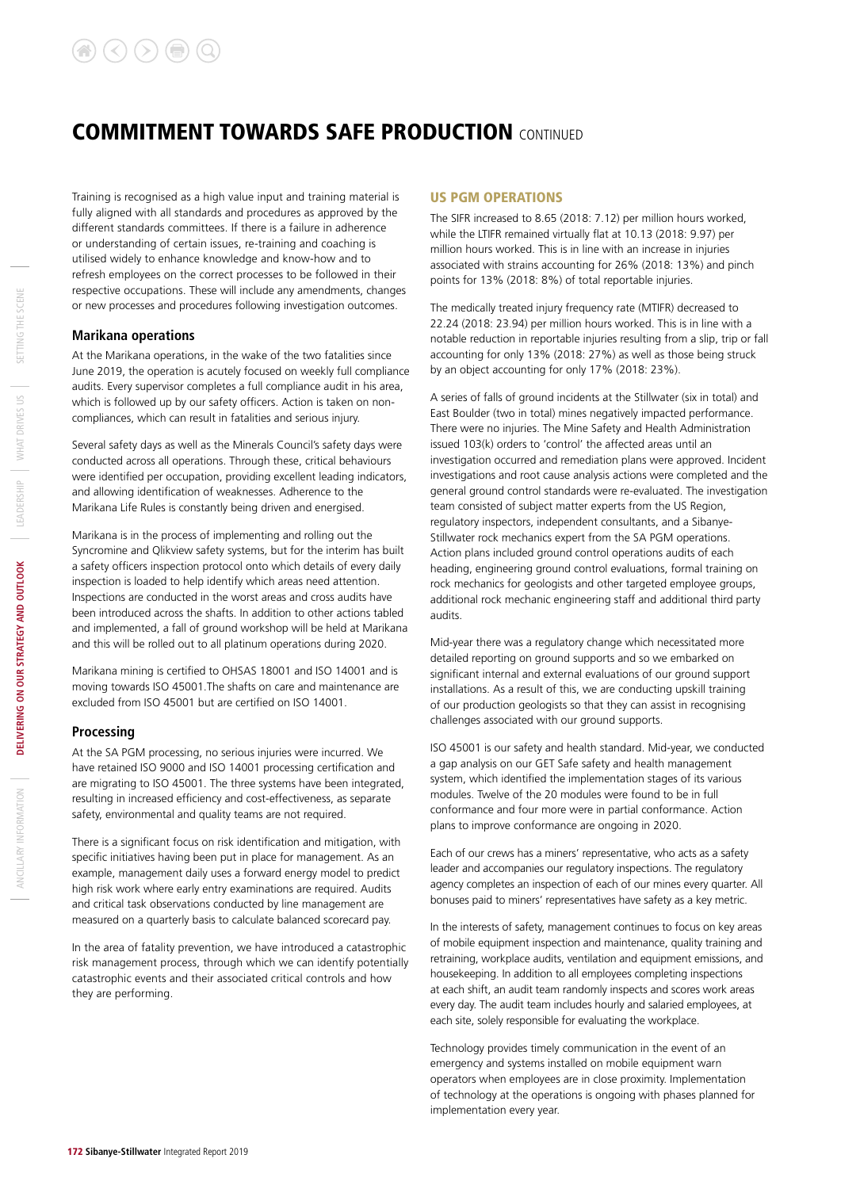Training is recognised as a high value input and training material is fully aligned with all standards and procedures as approved by the different standards committees. If there is a failure in adherence or understanding of certain issues, re-training and coaching is utilised widely to enhance knowledge and know-how and to refresh employees on the correct processes to be followed in their respective occupations. These will include any amendments, changes or new processes and procedures following investigation outcomes.

#### **Marikana operations**

At the Marikana operations, in the wake of the two fatalities since June 2019, the operation is acutely focused on weekly full compliance audits. Every supervisor completes a full compliance audit in his area, which is followed up by our safety officers. Action is taken on noncompliances, which can result in fatalities and serious injury.

Several safety days as well as the Minerals Council's safety days were conducted across all operations. Through these, critical behaviours were identified per occupation, providing excellent leading indicators, and allowing identification of weaknesses. Adherence to the Marikana Life Rules is constantly being driven and energised.

Marikana is in the process of implementing and rolling out the Syncromine and Qlikview safety systems, but for the interim has built a safety officers inspection protocol onto which details of every daily inspection is loaded to help identify which areas need attention. Inspections are conducted in the worst areas and cross audits have been introduced across the shafts. In addition to other actions tabled and implemented, a fall of ground workshop will be held at Marikana and this will be rolled out to all platinum operations during 2020.

Marikana mining is certified to OHSAS 18001 and ISO 14001 and is moving towards ISO 45001.The shafts on care and maintenance are excluded from ISO 45001 but are certified on ISO 14001.

#### **Processing**

At the SA PGM processing, no serious injuries were incurred. We have retained ISO 9000 and ISO 14001 processing certification and are migrating to ISO 45001. The three systems have been integrated, resulting in increased efficiency and cost-effectiveness, as separate safety, environmental and quality teams are not required.

There is a significant focus on risk identification and mitigation, with specific initiatives having been put in place for management. As an example, management daily uses a forward energy model to predict high risk work where early entry examinations are required. Audits and critical task observations conducted by line management are measured on a quarterly basis to calculate balanced scorecard pay.

In the area of fatality prevention, we have introduced a catastrophic risk management process, through which we can identify potentially catastrophic events and their associated critical controls and how they are performing.

#### US PGM OPERATIONS

The SIFR increased to 8.65 (2018: 7.12) per million hours worked, while the LTIFR remained virtually flat at 10.13 (2018: 9.97) per million hours worked. This is in line with an increase in injuries associated with strains accounting for 26% (2018: 13%) and pinch points for 13% (2018: 8%) of total reportable injuries.

The medically treated injury frequency rate (MTIFR) decreased to 22.24 (2018: 23.94) per million hours worked. This is in line with a notable reduction in reportable injuries resulting from a slip, trip or fall accounting for only 13% (2018: 27%) as well as those being struck by an object accounting for only 17% (2018: 23%).

A series of falls of ground incidents at the Stillwater (six in total) and East Boulder (two in total) mines negatively impacted performance. There were no injuries. The Mine Safety and Health Administration issued 103(k) orders to 'control' the affected areas until an investigation occurred and remediation plans were approved. Incident investigations and root cause analysis actions were completed and the general ground control standards were re-evaluated. The investigation team consisted of subject matter experts from the US Region, regulatory inspectors, independent consultants, and a Sibanye-Stillwater rock mechanics expert from the SA PGM operations. Action plans included ground control operations audits of each heading, engineering ground control evaluations, formal training on rock mechanics for geologists and other targeted employee groups, additional rock mechanic engineering staff and additional third party audits.

Mid-year there was a regulatory change which necessitated more detailed reporting on ground supports and so we embarked on significant internal and external evaluations of our ground support installations. As a result of this, we are conducting upskill training of our production geologists so that they can assist in recognising challenges associated with our ground supports.

ISO 45001 is our safety and health standard. Mid-year, we conducted a gap analysis on our GET Safe safety and health management system, which identified the implementation stages of its various modules. Twelve of the 20 modules were found to be in full conformance and four more were in partial conformance. Action plans to improve conformance are ongoing in 2020.

Each of our crews has a miners' representative, who acts as a safety leader and accompanies our regulatory inspections. The regulatory agency completes an inspection of each of our mines every quarter. All bonuses paid to miners' representatives have safety as a key metric.

In the interests of safety, management continues to focus on key areas of mobile equipment inspection and maintenance, quality training and retraining, workplace audits, ventilation and equipment emissions, and housekeeping. In addition to all employees completing inspections at each shift, an audit team randomly inspects and scores work areas every day. The audit team includes hourly and salaried employees, at each site, solely responsible for evaluating the workplace.

Technology provides timely communication in the event of an emergency and systems installed on mobile equipment warn operators when employees are in close proximity. Implementation of technology at the operations is ongoing with phases planned for implementation every year.

ANCILLARY INFORMATION